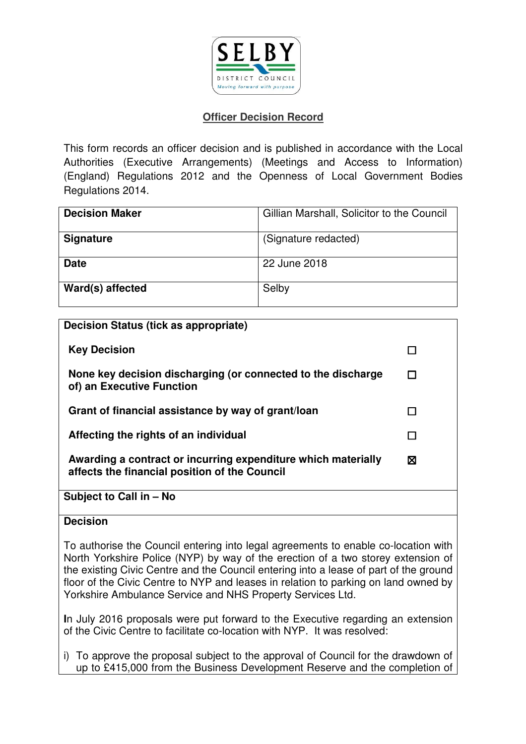

# **Officer Decision Record**

This form records an officer decision and is published in accordance with the Local Authorities (Executive Arrangements) (Meetings and Access to Information) (England) Regulations 2012 and the Openness of Local Government Bodies Regulations 2014.

| <b>Decision Maker</b> | Gillian Marshall, Solicitor to the Council |
|-----------------------|--------------------------------------------|
| <b>Signature</b>      | (Signature redacted)                       |
| <b>Date</b>           | 22 June 2018                               |
| Ward(s) affected      | Selby                                      |

| Decision Status (tick as appropriate)                                                                          |   |
|----------------------------------------------------------------------------------------------------------------|---|
| <b>Key Decision</b>                                                                                            |   |
| None key decision discharging (or connected to the discharge<br>of) an Executive Function                      |   |
| Grant of financial assistance by way of grant/loan                                                             |   |
| Affecting the rights of an individual                                                                          |   |
| Awarding a contract or incurring expenditure which materially<br>affects the financial position of the Council | ⊠ |
| Subject to Call in - No                                                                                        |   |
| <b>Decision</b>                                                                                                |   |

To authorise the Council entering into legal agreements to enable co-location with North Yorkshire Police (NYP) by way of the erection of a two storey extension of the existing Civic Centre and the Council entering into a lease of part of the ground floor of the Civic Centre to NYP and leases in relation to parking on land owned by Yorkshire Ambulance Service and NHS Property Services Ltd.

**I**n July 2016 proposals were put forward to the Executive regarding an extension of the Civic Centre to facilitate co-location with NYP. It was resolved:

i) To approve the proposal subject to the approval of Council for the drawdown of up to £415,000 from the Business Development Reserve and the completion of